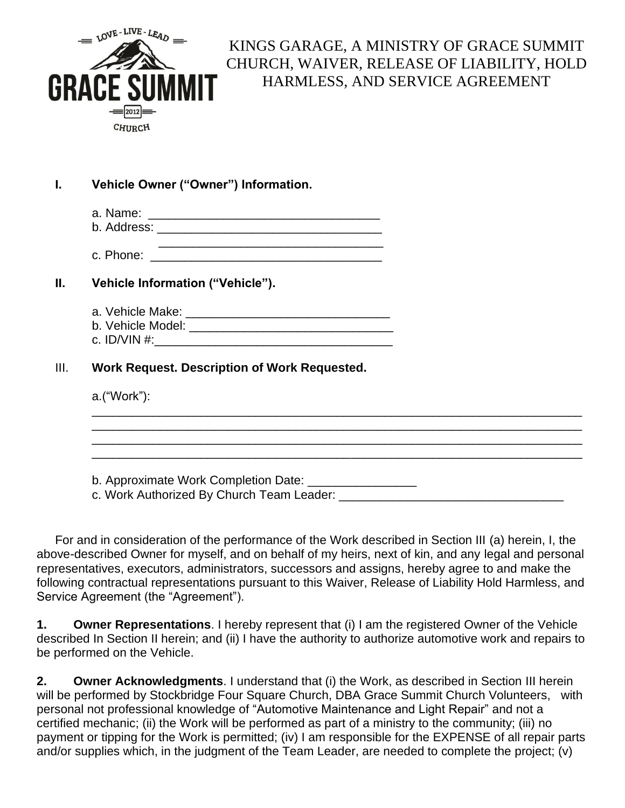

## KINGS GARAGE, A MINISTRY OF GRACE SUMMIT CHURCH, WAIVER, RELEASE OF LIABILITY, HOLD HARMLESS, AND SERVICE AGREEMENT

| Vehicle Owner ("Owner") Information.                     |  |
|----------------------------------------------------------|--|
|                                                          |  |
|                                                          |  |
|                                                          |  |
| Vehicle Information ("Vehicle").                         |  |
|                                                          |  |
|                                                          |  |
|                                                          |  |
| Work Request. Description of Work Requested.             |  |
| $a.(``Work")$ :                                          |  |
|                                                          |  |
|                                                          |  |
|                                                          |  |
|                                                          |  |
| b. Approximate Work Completion Date: ___________________ |  |
| c. Work Authorized By Church Team Leader:                |  |

For and in consideration of the performance of the Work described in Section III (a) herein, I, the above-described Owner for myself, and on behalf of my heirs, next of kin, and any legal and personal representatives, executors, administrators, successors and assigns, hereby agree to and make the following contractual representations pursuant to this Waiver, Release of Liability Hold Harmless, and Service Agreement (the "Agreement").

**1. Owner Representations**. I hereby represent that (i) I am the registered Owner of the Vehicle described In Section II herein; and (ii) I have the authority to authorize automotive work and repairs to be performed on the Vehicle.

**2. Owner Acknowledgments**. I understand that (i) the Work, as described in Section III herein will be performed by Stockbridge Four Square Church, DBA Grace Summit Church Volunteers, with personal not professional knowledge of "Automotive Maintenance and Light Repair" and not a certified mechanic; (ii) the Work will be performed as part of a ministry to the community; (iii) no payment or tipping for the Work is permitted; (iv) I am responsible for the EXPENSE of all repair parts and/or supplies which, in the judgment of the Team Leader, are needed to complete the project; (v)